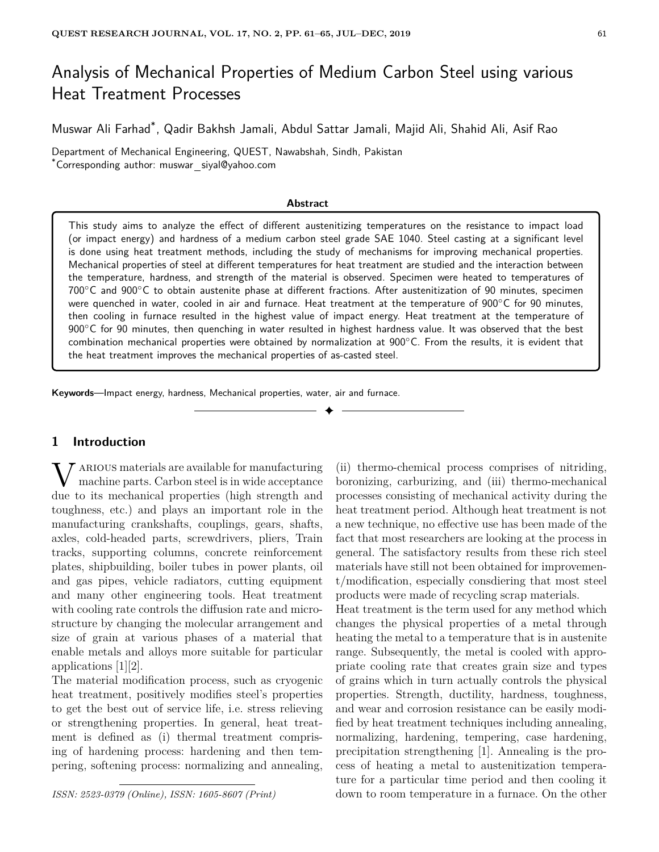# Analysis of Mechanical Properties of Medium Carbon Steel using various Heat Treatment Processes

Muswar Ali Farhad\* , Qadir Bakhsh Jamali, Abdul Sattar Jamali, Majid Ali, Shahid Ali, Asif Rao

Department of Mechanical Engineering, QUEST, Nawabshah, Sindh, Pakistan \*Corresponding author: muswar siyal@yahoo.com

#### **Abstract**

This study aims to analyze the effect of different austenitizing temperatures on the resistance to impact load (or impact energy) and hardness of a medium carbon steel grade SAE 1040. Steel casting at a significant level is done using heat treatment methods, including the study of mechanisms for improving mechanical properties. Mechanical properties of steel at different temperatures for heat treatment are studied and the interaction between the temperature, hardness, and strength of the material is observed. Specimen were heated to temperatures of 700◦C and 900◦C to obtain austenite phase at different fractions. After austenitization of 90 minutes, specimen were quenched in water, cooled in air and furnace. Heat treatment at the temperature of  $900^{\circ}$ C for 90 minutes, then cooling in furnace resulted in the highest value of impact energy. Heat treatment at the temperature of 900<sup>°</sup>C for 90 minutes, then quenching in water resulted in highest hardness value. It was observed that the best combination mechanical properties were obtained by normalization at 900◦C. From the results, it is evident that the heat treatment improves the mechanical properties of as-casted steel.

✦

**Keywords**—Impact energy, hardness, Mechanical properties, water, air and furnace.

## **1 Introduction**

W ARIOUS materials are available for manufacturing<br>machine parts. Carbon steel is in wide acceptance<br>due to its mechanical properties (high strength and ARIOUS materials are available for manufacturing machine parts. Carbon steel is in wide acceptance toughness, etc.) and plays an important role in the manufacturing crankshafts, couplings, gears, shafts, axles, cold-headed parts, screwdrivers, pliers, Train tracks, supporting columns, concrete reinforcement plates, shipbuilding, boiler tubes in power plants, oil and gas pipes, vehicle radiators, cutting equipment and many other engineering tools. Heat treatment with cooling rate controls the diffusion rate and microstructure by changing the molecular arrangement and size of grain at various phases of a material that enable metals and alloys more suitable for particular applications [1][2].

The material modification process, such as cryogenic heat treatment, positively modifies steel's properties to get the best out of service life, i.e. stress relieving or strengthening properties. In general, heat treatment is defined as (i) thermal treatment comprising of hardening process: hardening and then tempering, softening process: normalizing and annealing,

*ISSN: 2523-0379 (Online), ISSN: 1605-8607 (Print)*

(ii) thermo-chemical process comprises of nitriding, boronizing, carburizing, and (iii) thermo-mechanical processes consisting of mechanical activity during the heat treatment period. Although heat treatment is not a new technique, no effective use has been made of the fact that most researchers are looking at the process in general. The satisfactory results from these rich steel materials have still not been obtained for improvement/modification, especially consdiering that most steel products were made of recycling scrap materials.

Heat treatment is the term used for any method which changes the physical properties of a metal through heating the metal to a temperature that is in austenite range. Subsequently, the metal is cooled with appropriate cooling rate that creates grain size and types of grains which in turn actually controls the physical properties. Strength, ductility, hardness, toughness, and wear and corrosion resistance can be easily modified by heat treatment techniques including annealing, normalizing, hardening, tempering, case hardening, precipitation strengthening [1]. Annealing is the process of heating a metal to austenitization temperature for a particular time period and then cooling it down to room temperature in a furnace. On the other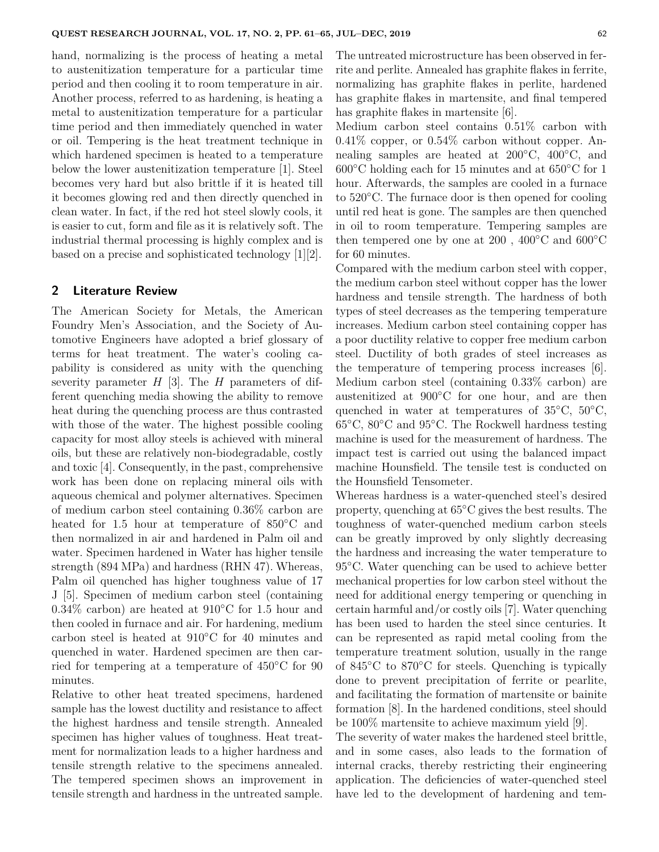hand, normalizing is the process of heating a metal to austenitization temperature for a particular time period and then cooling it to room temperature in air. Another process, referred to as hardening, is heating a metal to austenitization temperature for a particular time period and then immediately quenched in water or oil. Tempering is the heat treatment technique in which hardened specimen is heated to a temperature below the lower austenitization temperature [1]. Steel becomes very hard but also brittle if it is heated till it becomes glowing red and then directly quenched in clean water. In fact, if the red hot steel slowly cools, it is easier to cut, form and file as it is relatively soft. The industrial thermal processing is highly complex and is based on a precise and sophisticated technology [1][2].

## **2 Literature Review**

The American Society for Metals, the American Foundry Men's Association, and the Society of Automotive Engineers have adopted a brief glossary of terms for heat treatment. The water's cooling capability is considered as unity with the quenching severity parameter *H* [3]. The *H* parameters of different quenching media showing the ability to remove heat during the quenching process are thus contrasted with those of the water. The highest possible cooling capacity for most alloy steels is achieved with mineral oils, but these are relatively non-biodegradable, costly and toxic [4]. Consequently, in the past, comprehensive work has been done on replacing mineral oils with aqueous chemical and polymer alternatives. Specimen of medium carbon steel containing 0.36% carbon are heated for 1.5 hour at temperature of 850<sup>°</sup>C and then normalized in air and hardened in Palm oil and water. Specimen hardened in Water has higher tensile strength (894 MPa) and hardness (RHN 47). Whereas, Palm oil quenched has higher toughness value of 17 J [5]. Specimen of medium carbon steel (containing 0.34% carbon) are heated at 910◦C for 1.5 hour and then cooled in furnace and air. For hardening, medium carbon steel is heated at 910◦C for 40 minutes and quenched in water. Hardened specimen are then carried for tempering at a temperature of 450◦C for 90 minutes.

Relative to other heat treated specimens, hardened sample has the lowest ductility and resistance to affect the highest hardness and tensile strength. Annealed specimen has higher values of toughness. Heat treatment for normalization leads to a higher hardness and tensile strength relative to the specimens annealed. The tempered specimen shows an improvement in tensile strength and hardness in the untreated sample. The untreated microstructure has been observed in ferrite and perlite. Annealed has graphite flakes in ferrite, normalizing has graphite flakes in perlite, hardened has graphite flakes in martensite, and final tempered has graphite flakes in martensite [6].

Medium carbon steel contains 0.51% carbon with 0.41% copper, or 0.54% carbon without copper. Annealing samples are heated at 200◦C, 400◦C, and  $600\textdegree$ C holding each for 15 minutes and at  $650\textdegree$ C for 1 hour. Afterwards, the samples are cooled in a furnace to 520◦C. The furnace door is then opened for cooling until red heat is gone. The samples are then quenched in oil to room temperature. Tempering samples are then tempered one by one at 200,  $400^{\circ}$ C and  $600^{\circ}$ C for 60 minutes.

Compared with the medium carbon steel with copper, the medium carbon steel without copper has the lower hardness and tensile strength. The hardness of both types of steel decreases as the tempering temperature increases. Medium carbon steel containing copper has a poor ductility relative to copper free medium carbon steel. Ductility of both grades of steel increases as the temperature of tempering process increases [6]. Medium carbon steel (containing 0.33% carbon) are austenitized at 900◦C for one hour, and are then quenched in water at temperatures of  $35^{\circ}$ C,  $50^{\circ}$ C, 65◦C, 80◦C and 95◦C. The Rockwell hardness testing machine is used for the measurement of hardness. The impact test is carried out using the balanced impact machine Hounsfield. The tensile test is conducted on the Hounsfield Tensometer.

Whereas hardness is a water-quenched steel's desired property, quenching at 65◦C gives the best results. The toughness of water-quenched medium carbon steels can be greatly improved by only slightly decreasing the hardness and increasing the water temperature to 95<sup>°</sup>C. Water quenching can be used to achieve better mechanical properties for low carbon steel without the need for additional energy tempering or quenching in certain harmful and/or costly oils [7]. Water quenching has been used to harden the steel since centuries. It can be represented as rapid metal cooling from the temperature treatment solution, usually in the range of 845◦C to 870◦C for steels. Quenching is typically done to prevent precipitation of ferrite or pearlite, and facilitating the formation of martensite or bainite formation [8]. In the hardened conditions, steel should be 100% martensite to achieve maximum yield [9].

The severity of water makes the hardened steel brittle, and in some cases, also leads to the formation of internal cracks, thereby restricting their engineering application. The deficiencies of water-quenched steel have led to the development of hardening and tem-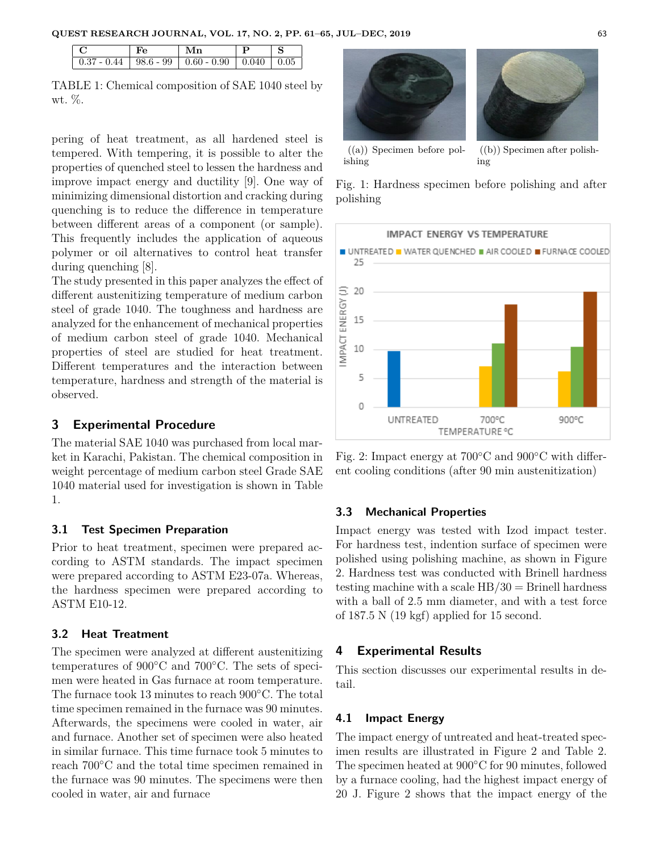|  | $0.37 - 0.44$   98.6 - 99   0.60 - 0.90   0.040   0.05 |  |
|--|--------------------------------------------------------|--|

TABLE 1: Chemical composition of SAE 1040 steel by wt. %.

pering of heat treatment, as all hardened steel is tempered. With tempering, it is possible to alter the properties of quenched steel to lessen the hardness and improve impact energy and ductility [9]. One way of minimizing dimensional distortion and cracking during quenching is to reduce the difference in temperature between different areas of a component (or sample). This frequently includes the application of aqueous polymer or oil alternatives to control heat transfer during quenching [8].

The study presented in this paper analyzes the effect of different austenitizing temperature of medium carbon steel of grade 1040. The toughness and hardness are analyzed for the enhancement of mechanical properties of medium carbon steel of grade 1040. Mechanical properties of steel are studied for heat treatment. Different temperatures and the interaction between temperature, hardness and strength of the material is observed.

## **3 Experimental Procedure**

The material SAE 1040 was purchased from local market in Karachi, Pakistan. The chemical composition in weight percentage of medium carbon steel Grade SAE 1040 material used for investigation is shown in Table 1.

#### **3.1 Test Specimen Preparation**

Prior to heat treatment, specimen were prepared according to ASTM standards. The impact specimen were prepared according to ASTM E23-07a. Whereas, the hardness specimen were prepared according to ASTM E10-12.

## **3.2 Heat Treatment**

The specimen were analyzed at different austenitizing temperatures of 900◦C and 700◦C. The sets of specimen were heated in Gas furnace at room temperature. The furnace took 13 minutes to reach 900◦C. The total time specimen remained in the furnace was 90 minutes. Afterwards, the specimens were cooled in water, air and furnace. Another set of specimen were also heated in similar furnace. This time furnace took 5 minutes to reach 700◦C and the total time specimen remained in the furnace was 90 minutes. The specimens were then cooled in water, air and furnace



((a)) Specimen before polishing

((b)) Specimen after polishing

Fig. 1: Hardness specimen before polishing and after polishing



Fig. 2: Impact energy at 700◦C and 900◦C with different cooling conditions (after 90 min austenitization)

#### **3.3 Mechanical Properties**

Impact energy was tested with Izod impact tester. For hardness test, indention surface of specimen were polished using polishing machine, as shown in Figure 2. Hardness test was conducted with Brinell hardness testing machine with a scale  $HB/30 = Brinell$  hardness with a ball of 2.5 mm diameter, and with a test force of 187.5 N (19 kgf) applied for 15 second.

### **4 Experimental Results**

This section discusses our experimental results in detail.

#### **4.1 Impact Energy**

The impact energy of untreated and heat-treated specimen results are illustrated in Figure 2 and Table 2. The specimen heated at 900◦C for 90 minutes, followed by a furnace cooling, had the highest impact energy of 20 J. Figure 2 shows that the impact energy of the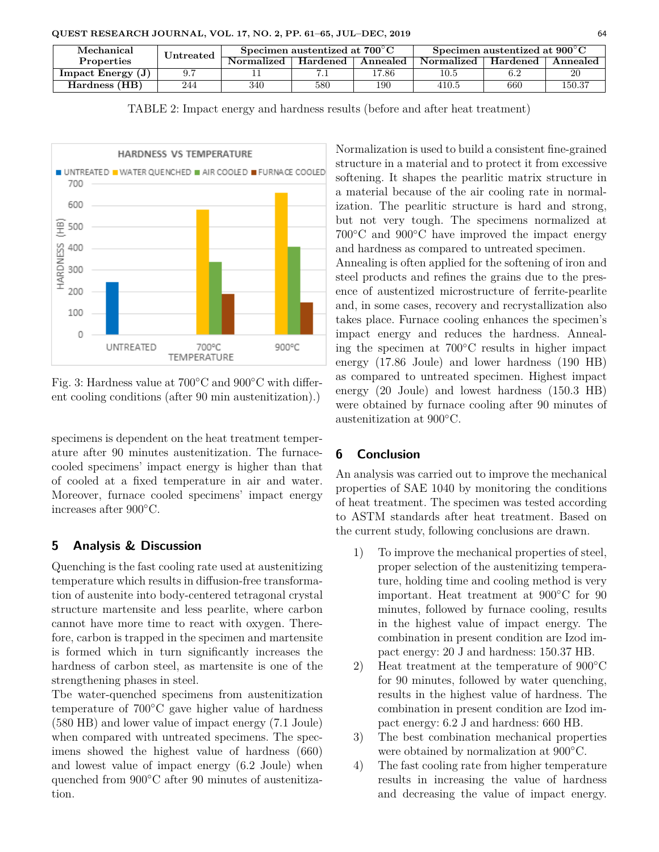| Mechanical          | Jntreated | Specimen austentized at $700^{\circ}$ C |          |          | Specimen austentized at $900^{\circ}$ C |          |                 |
|---------------------|-----------|-----------------------------------------|----------|----------|-----------------------------------------|----------|-----------------|
| <b>Properties</b>   |           | Normalized                              | Hardened | Annealed | <b>Normalized</b>                       | Hardened | <b>Annealed</b> |
| Impact Energy $(J)$ | 9.7       |                                         |          | 17.86    | 10.5                                    |          | 20              |
| Hardness (HB)       | 244       | 340                                     | 580      | 190      | 410.5                                   | 660      | 150.37          |

TABLE 2: Impact energy and hardness results (before and after heat treatment)



Fig. 3: Hardness value at 700◦C and 900◦C with different cooling conditions (after 90 min austenitization).)

specimens is dependent on the heat treatment temperature after 90 minutes austenitization. The furnacecooled specimens' impact energy is higher than that of cooled at a fixed temperature in air and water. Moreover, furnace cooled specimens' impact energy increases after 900◦C.

## **5 Analysis & Discussion**

Quenching is the fast cooling rate used at austenitizing temperature which results in diffusion-free transformation of austenite into body-centered tetragonal crystal structure martensite and less pearlite, where carbon cannot have more time to react with oxygen. Therefore, carbon is trapped in the specimen and martensite is formed which in turn significantly increases the hardness of carbon steel, as martensite is one of the strengthening phases in steel.

Tbe water-quenched specimens from austenitization temperature of 700◦C gave higher value of hardness (580 HB) and lower value of impact energy (7.1 Joule) when compared with untreated specimens. The specimens showed the highest value of hardness (660) and lowest value of impact energy (6.2 Joule) when quenched from 900◦C after 90 minutes of austenitization.

Normalization is used to build a consistent fine-grained structure in a material and to protect it from excessive softening. It shapes the pearlitic matrix structure in a material because of the air cooling rate in normalization. The pearlitic structure is hard and strong, but not very tough. The specimens normalized at 700◦C and 900◦C have improved the impact energy and hardness as compared to untreated specimen. Annealing is often applied for the softening of iron and steel products and refines the grains due to the presence of austentized microstructure of ferrite-pearlite and, in some cases, recovery and recrystallization also takes place. Furnace cooling enhances the specimen's impact energy and reduces the hardness. Annealing the specimen at 700◦C results in higher impact energy (17.86 Joule) and lower hardness (190 HB) as compared to untreated specimen. Highest impact energy (20 Joule) and lowest hardness (150.3 HB) were obtained by furnace cooling after 90 minutes of austenitization at 900◦C.

## **6 Conclusion**

An analysis was carried out to improve the mechanical properties of SAE 1040 by monitoring the conditions of heat treatment. The specimen was tested according to ASTM standards after heat treatment. Based on the current study, following conclusions are drawn.

- 1) To improve the mechanical properties of steel, proper selection of the austenitizing temperature, holding time and cooling method is very important. Heat treatment at 900◦C for 90 minutes, followed by furnace cooling, results in the highest value of impact energy. The combination in present condition are Izod impact energy: 20 J and hardness: 150.37 HB.
- 2) Heat treatment at the temperature of 900◦C for 90 minutes, followed by water quenching, results in the highest value of hardness. The combination in present condition are Izod impact energy: 6.2 J and hardness: 660 HB.
- 3) The best combination mechanical properties were obtained by normalization at 900◦C.
- 4) The fast cooling rate from higher temperature results in increasing the value of hardness and decreasing the value of impact energy.